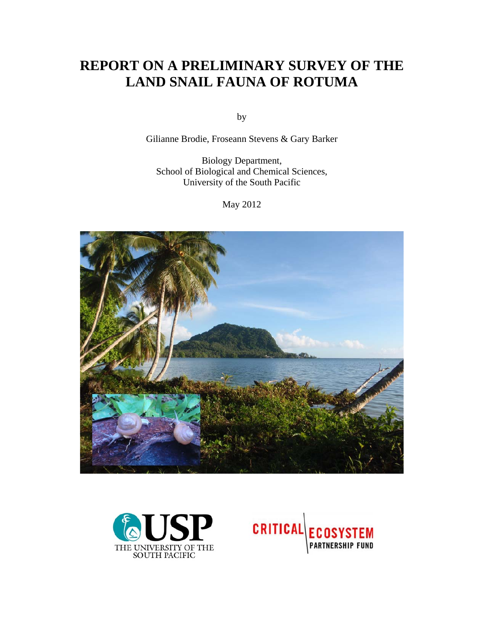# **REPORT ON A PRELIMINARY SURVEY OF THE LAND SNAIL FAUNA OF ROTUMA**

by

Gilianne Brodie, Froseann Stevens & Gary Barker

Biology Department, School of Biological and Chemical Sciences, University of the South Pacific

May 2012





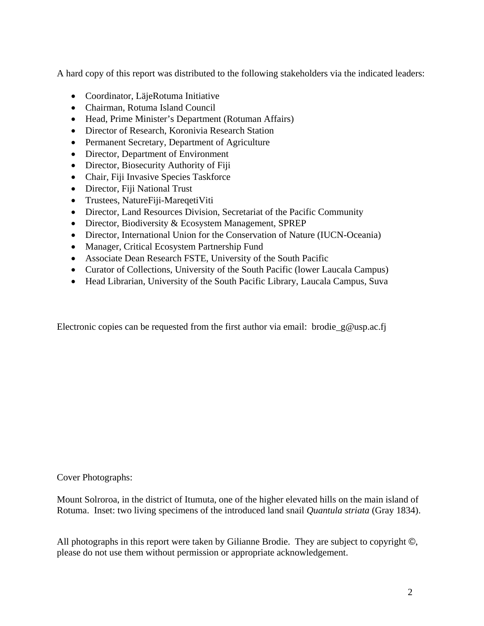A hard copy of this report was distributed to the following stakeholders via the indicated leaders:

- Coordinator, LäjeRotuma Initiative
- Chairman, Rotuma Island Council
- Head, Prime Minister's Department (Rotuman Affairs)
- Director of Research, Koronivia Research Station
- Permanent Secretary, Department of Agriculture
- Director, Department of Environment
- Director, Biosecurity Authority of Fiji
- Chair, Fiji Invasive Species Taskforce
- Director, Fiji National Trust
- Trustees, NatureFiji-MareqetiViti
- Director, Land Resources Division, Secretariat of the Pacific Community
- Director, Biodiversity & Ecosystem Management, SPREP
- Director, International Union for the Conservation of Nature (IUCN-Oceania)
- Manager, Critical Ecosystem Partnership Fund
- Associate Dean Research FSTE, University of the South Pacific
- Curator of Collections, University of the South Pacific (lower Laucala Campus)
- Head Librarian, University of the South Pacific Library, Laucala Campus, Suva

Electronic copies can be requested from the first author via email: brodie  $g@$ usp.ac.fi

Cover Photographs:

Mount Solroroa, in the district of Itumuta, one of the higher elevated hills on the main island of Rotuma. Inset: two living specimens of the introduced land snail *Quantula striata* (Gray 1834).

All photographs in this report were taken by Gilianne Brodie. They are subject to copyright ©, please do not use them without permission or appropriate acknowledgement.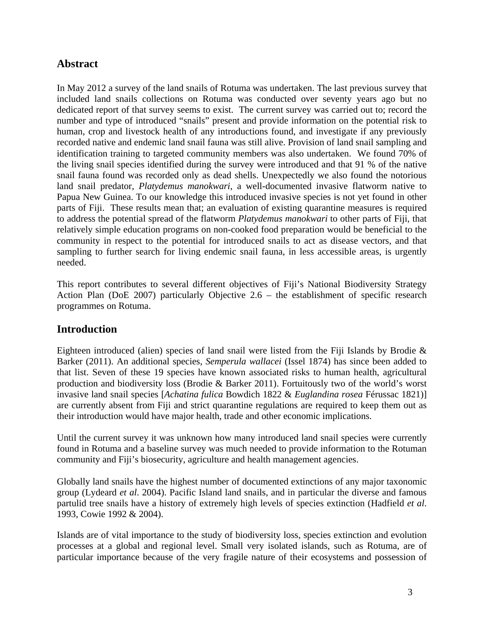# **Abstract**

In May 2012 a survey of the land snails of Rotuma was undertaken. The last previous survey that included land snails collections on Rotuma was conducted over seventy years ago but no dedicated report of that survey seems to exist. The current survey was carried out to; record the number and type of introduced "snails" present and provide information on the potential risk to human, crop and livestock health of any introductions found, and investigate if any previously recorded native and endemic land snail fauna was still alive. Provision of land snail sampling and identification training to targeted community members was also undertaken. We found 70% of the living snail species identified during the survey were introduced and that 91 % of the native snail fauna found was recorded only as dead shells. Unexpectedly we also found the notorious land snail predator, *Platydemus manokwari*, a well-documented invasive flatworm native to Papua New Guinea. To our knowledge this introduced invasive species is not yet found in other parts of Fiji. These results mean that; an evaluation of existing quarantine measures is required to address the potential spread of the flatworm *Platydemus manokwari* to other parts of Fiji, that relatively simple education programs on non-cooked food preparation would be beneficial to the community in respect to the potential for introduced snails to act as disease vectors, and that sampling to further search for living endemic snail fauna, in less accessible areas, is urgently needed.

This report contributes to several different objectives of Fiji's National Biodiversity Strategy Action Plan (DoE 2007) particularly Objective 2.6 – the establishment of specific research programmes on Rotuma.

## **Introduction**

Eighteen introduced (alien) species of land snail were listed from the Fiji Islands by Brodie & Barker (2011). An additional species, *Semperula wallacei* (Issel 1874) has since been added to that list. Seven of these 19 species have known associated risks to human health, agricultural production and biodiversity loss (Brodie & Barker 2011). Fortuitously two of the world's worst invasive land snail species [*Achatina fulica* Bowdich 1822 & *Euglandina rosea* Férussac 1821)] are currently absent from Fiji and strict quarantine regulations are required to keep them out as their introduction would have major health, trade and other economic implications.

Until the current survey it was unknown how many introduced land snail species were currently found in Rotuma and a baseline survey was much needed to provide information to the Rotuman community and Fiji's biosecurity, agriculture and health management agencies.

Globally land snails have the highest number of documented extinctions of any major taxonomic group (Lydeard *et al*. 2004). Pacific Island land snails, and in particular the diverse and famous partulid tree snails have a history of extremely high levels of species extinction (Hadfield *et al*. 1993, Cowie 1992 & 2004).

Islands are of vital importance to the study of biodiversity loss, species extinction and evolution processes at a global and regional level. Small very isolated islands, such as Rotuma, are of particular importance because of the very fragile nature of their ecosystems and possession of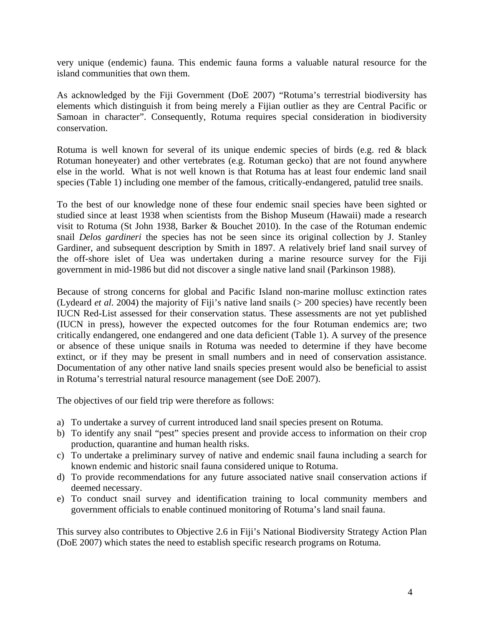very unique (endemic) fauna. This endemic fauna forms a valuable natural resource for the island communities that own them.

As acknowledged by the Fiji Government (DoE 2007) "Rotuma's terrestrial biodiversity has elements which distinguish it from being merely a Fijian outlier as they are Central Pacific or Samoan in character". Consequently, Rotuma requires special consideration in biodiversity conservation.

Rotuma is well known for several of its unique endemic species of birds (e.g. red & black Rotuman honeyeater) and other vertebrates (e.g. Rotuman gecko) that are not found anywhere else in the world. What is not well known is that Rotuma has at least four endemic land snail species (Table 1) including one member of the famous, critically-endangered, patulid tree snails.

To the best of our knowledge none of these four endemic snail species have been sighted or studied since at least 1938 when scientists from the Bishop Museum (Hawaii) made a research visit to Rotuma (St John 1938, Barker & Bouchet 2010). In the case of the Rotuman endemic snail *Delos gardineri* the species has not be seen since its original collection by J. Stanley Gardiner, and subsequent description by Smith in 1897. A relatively brief land snail survey of the off-shore islet of Uea was undertaken during a marine resource survey for the Fiji government in mid-1986 but did not discover a single native land snail (Parkinson 1988).

Because of strong concerns for global and Pacific Island non-marine mollusc extinction rates (Lydeard *et al*. 2004) the majority of Fiji's native land snails (> 200 species) have recently been IUCN Red-List assessed for their conservation status. These assessments are not yet published (IUCN in press), however the expected outcomes for the four Rotuman endemics are; two critically endangered, one endangered and one data deficient (Table 1). A survey of the presence or absence of these unique snails in Rotuma was needed to determine if they have become extinct, or if they may be present in small numbers and in need of conservation assistance. Documentation of any other native land snails species present would also be beneficial to assist in Rotuma's terrestrial natural resource management (see DoE 2007).

The objectives of our field trip were therefore as follows:

- a) To undertake a survey of current introduced land snail species present on Rotuma.
- b) To identify any snail "pest" species present and provide access to information on their crop production, quarantine and human health risks.
- c) To undertake a preliminary survey of native and endemic snail fauna including a search for known endemic and historic snail fauna considered unique to Rotuma.
- d) To provide recommendations for any future associated native snail conservation actions if deemed necessary.
- e) To conduct snail survey and identification training to local community members and government officials to enable continued monitoring of Rotuma's land snail fauna.

This survey also contributes to Objective 2.6 in Fiji's National Biodiversity Strategy Action Plan (DoE 2007) which states the need to establish specific research programs on Rotuma.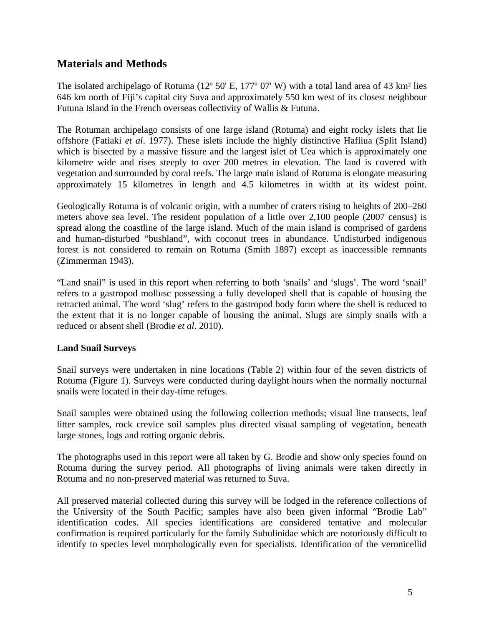## **Materials and Methods**

The isolated archipelago of Rotuma (12° 50' E, 177° 07' W) with a total land area of 43 km<sup>2</sup> lies 646 km north of Fiji's capital city Suva and approximately 550 km west of its closest neighbour Futuna Island in the French overseas collectivity of Wallis & Futuna.

The Rotuman archipelago consists of one large island (Rotuma) and eight rocky islets that lie offshore (Fatiaki *et al*. 1977). These islets include the highly distinctive Hafliua (Split Island) which is bisected by a massive fissure and the largest islet of Uea which is approximately one kilometre wide and rises steeply to over 200 metres in elevation. The land is covered with vegetation and surrounded by coral reefs. The large main island of Rotuma is elongate measuring approximately 15 kilometres in length and 4.5 kilometres in width at its widest point.

Geologically Rotuma is of volcanic origin, with a number of craters rising to heights of 200–260 meters above sea level. The resident population of a little over 2,100 people (2007 census) is spread along the coastline of the large island. Much of the main island is comprised of gardens and human-disturbed "bushland", with coconut trees in abundance. Undisturbed indigenous forest is not considered to remain on Rotuma (Smith 1897) except as inaccessible remnants (Zimmerman 1943).

"Land snail" is used in this report when referring to both 'snails' and 'slugs'. The word 'snail' refers to a gastropod mollusc possessing a fully developed shell that is capable of housing the retracted animal. The word 'slug' refers to the gastropod body form where the shell is reduced to the extent that it is no longer capable of housing the animal. Slugs are simply snails with a reduced or absent shell (Brodie *et al*. 2010).

## **Land Snail Surveys**

Snail surveys were undertaken in nine locations (Table 2) within four of the seven districts of Rotuma (Figure 1). Surveys were conducted during daylight hours when the normally nocturnal snails were located in their day-time refuges.

Snail samples were obtained using the following collection methods; visual line transects, leaf litter samples, rock crevice soil samples plus directed visual sampling of vegetation, beneath large stones, logs and rotting organic debris.

The photographs used in this report were all taken by G. Brodie and show only species found on Rotuma during the survey period. All photographs of living animals were taken directly in Rotuma and no non-preserved material was returned to Suva.

All preserved material collected during this survey will be lodged in the reference collections of the University of the South Pacific; samples have also been given informal "Brodie Lab" identification codes. All species identifications are considered tentative and molecular confirmation is required particularly for the family Subulinidae which are notoriously difficult to identify to species level morphologically even for specialists. Identification of the veronicellid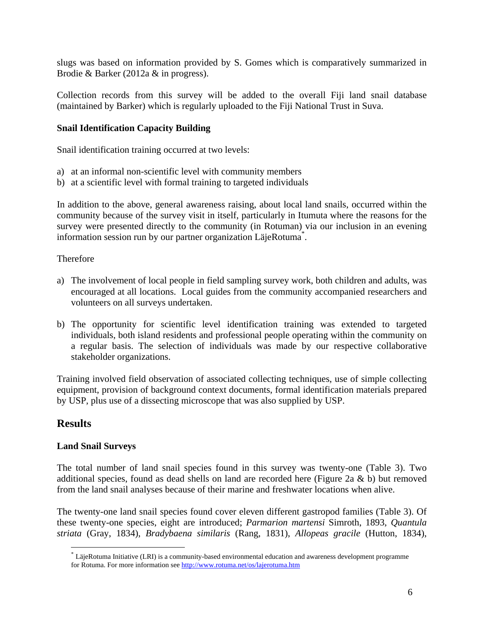slugs was based on information provided by S. Gomes which is comparatively summarized in Brodie & Barker (2012a & in progress).

Collection records from this survey will be added to the overall Fiji land snail database (maintained by Barker) which is regularly uploaded to the Fiji National Trust in Suva.

#### **Snail Identification Capacity Building**

Snail identification training occurred at two levels:

- a) at an informal non-scientific level with community members
- b) at a scientific level with formal training to targeted individuals

In addition to the above, general awareness raising, about local land snails, occurred within the community because of the survey visit in itself, particularly in Itumuta where the reasons for the survey were presented directly to the community (in Rotuman) via our inclusion in an evening information session run by our partner organization LäjeRotuma\* .

#### Therefore

- a) The involvement of local people in field sampling survey work, both children and adults, was encouraged at all locations. Local guides from the community accompanied researchers and volunteers on all surveys undertaken.
- b) The opportunity for scientific level identification training was extended to targeted individuals, both island residents and professional people operating within the community on a regular basis. The selection of individuals was made by our respective collaborative stakeholder organizations.

Training involved field observation of associated collecting techniques, use of simple collecting equipment, provision of background context documents, formal identification materials prepared by USP, plus use of a dissecting microscope that was also supplied by USP.

## **Results**

 $\overline{a}$ 

#### **Land Snail Surveys**

The total number of land snail species found in this survey was twenty-one (Table 3). Two additional species, found as dead shells on land are recorded here (Figure 2a & b) but removed from the land snail analyses because of their marine and freshwater locations when alive.

The twenty-one land snail species found cover eleven different gastropod families (Table 3). Of these twenty-one species, eight are introduced; *Parmarion martensi* Simroth, 1893, *Quantula striata* (Gray, 1834), *Bradybaena similaris* (Rang, 1831), *Allopeas gracile* (Hutton, 1834),

<sup>\*</sup> LäjeRotuma Initiative (LRI) is a community-based environmental education and awareness development programme for Rotuma. For more information see http://www.rotuma.net/os/lajerotuma.htm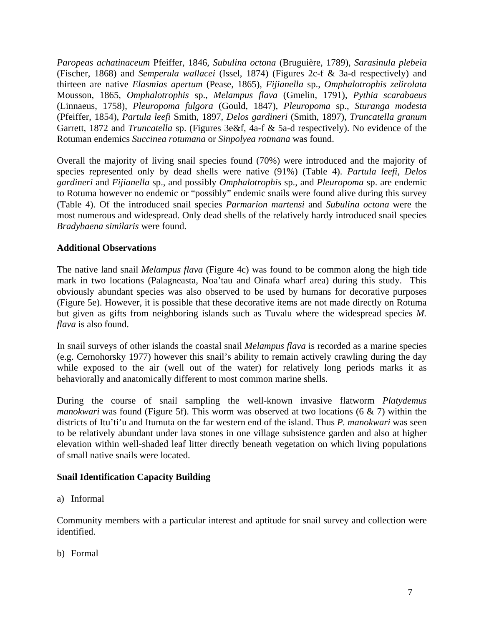*Paropeas achatinaceum* Pfeiffer, 1846, *Subulina octona* (Bruguière, 1789), *Sarasinula plebeia* (Fischer, 1868) and *Semperula wallacei* (Issel, 1874) (Figures 2c-f & 3a-d respectively) and thirteen are native *Elasmias apertum* (Pease, 1865), *Fijianella* sp., *Omphalotrophis zelirolata* Mousson, 1865, *Omphalotrophis* sp., *Melampus flava* (Gmelin, 1791), *Pythia scarabaeus* (Linnaeus, 1758), *Pleuropoma fulgora* (Gould, 1847), *Pleuropoma* sp., *Sturanga modesta* (Pfeiffer, 1854), *Partula leefi* Smith, 1897, *Delos gardineri* (Smith, 1897), *Truncatella granum* Garrett, 1872 and *Truncatella* sp. (Figures 3e&f, 4a-f & 5a-d respectively). No evidence of the Rotuman endemics *Succinea rotumana* or *Sinpolyea rotmana* was found.

Overall the majority of living snail species found (70%) were introduced and the majority of species represented only by dead shells were native (91%) (Table 4). *Partula leefi*, *Delos gardineri* and *Fijianella* sp., and possibly *Omphalotrophis* sp., and *Pleuropoma* sp. are endemic to Rotuma however no endemic or "possibly" endemic snails were found alive during this survey (Table 4). Of the introduced snail species *Parmarion martensi* and *Subulina octona* were the most numerous and widespread. Only dead shells of the relatively hardy introduced snail species *Bradybaena similaris* were found.

## **Additional Observations**

The native land snail *Melampus flava* (Figure 4c) was found to be common along the high tide mark in two locations (Palagneasta, Noa'tau and Oinafa wharf area) during this study. This obviously abundant species was also observed to be used by humans for decorative purposes (Figure 5e). However, it is possible that these decorative items are not made directly on Rotuma but given as gifts from neighboring islands such as Tuvalu where the widespread species *M. flava* is also found.

In snail surveys of other islands the coastal snail *Melampus flava* is recorded as a marine species (e.g. Cernohorsky 1977) however this snail's ability to remain actively crawling during the day while exposed to the air (well out of the water) for relatively long periods marks it as behaviorally and anatomically different to most common marine shells.

During the course of snail sampling the well-known invasive flatworm *Platydemus manokwari* was found (Figure 5f). This worm was observed at two locations (6 & 7) within the districts of Itu'ti'u and Itumuta on the far western end of the island. Thus *P. manokwari* was seen to be relatively abundant under lava stones in one village subsistence garden and also at higher elevation within well-shaded leaf litter directly beneath vegetation on which living populations of small native snails were located.

## **Snail Identification Capacity Building**

a) Informal

Community members with a particular interest and aptitude for snail survey and collection were identified.

b) Formal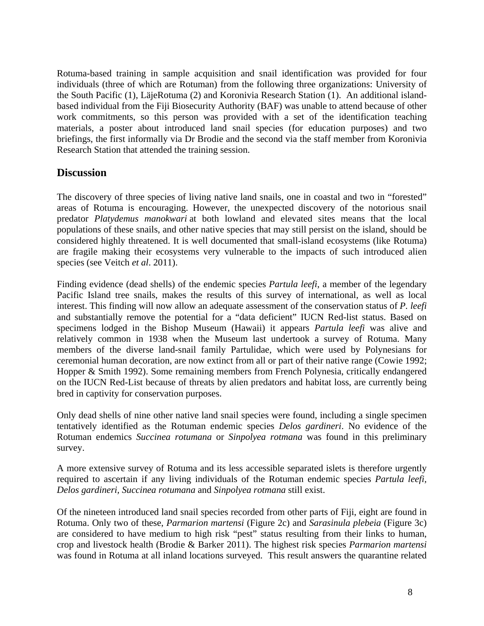Rotuma-based training in sample acquisition and snail identification was provided for four individuals (three of which are Rotuman) from the following three organizations: University of the South Pacific (1), LäjeRotuma (2) and Koronivia Research Station (1). An additional islandbased individual from the Fiji Biosecurity Authority (BAF) was unable to attend because of other work commitments, so this person was provided with a set of the identification teaching materials, a poster about introduced land snail species (for education purposes) and two briefings, the first informally via Dr Brodie and the second via the staff member from Koronivia Research Station that attended the training session.

## **Discussion**

The discovery of three species of living native land snails, one in coastal and two in "forested" areas of Rotuma is encouraging. However, the unexpected discovery of the notorious snail predator *Platydemus manokwari* at both lowland and elevated sites means that the local populations of these snails, and other native species that may still persist on the island, should be considered highly threatened. It is well documented that small-island ecosystems (like Rotuma) are fragile making their ecosystems very vulnerable to the impacts of such introduced alien species (see Veitch *et al*. 2011).

Finding evidence (dead shells) of the endemic species *Partula leefi*, a member of the legendary Pacific Island tree snails, makes the results of this survey of international, as well as local interest. This finding will now allow an adequate assessment of the conservation status of *P. leefi* and substantially remove the potential for a "data deficient" IUCN Red-list status. Based on specimens lodged in the Bishop Museum (Hawaii) it appears *Partula leefi* was alive and relatively common in 1938 when the Museum last undertook a survey of Rotuma. Many members of the diverse land-snail family Partulidae, which were used by Polynesians for ceremonial human decoration, are now extinct from all or part of their native range (Cowie 1992; Hopper & Smith 1992). Some remaining members from French Polynesia, critically endangered on the IUCN Red-List because of threats by alien predators and habitat loss, are currently being bred in captivity for conservation purposes.

Only dead shells of nine other native land snail species were found, including a single specimen tentatively identified as the Rotuman endemic species *Delos gardineri*. No evidence of the Rotuman endemics *Succinea rotumana* or *Sinpolyea rotmana* was found in this preliminary survey.

A more extensive survey of Rotuma and its less accessible separated islets is therefore urgently required to ascertain if any living individuals of the Rotuman endemic species *Partula leefi, Delos gardineri, Succinea rotumana* and *Sinpolyea rotmana* still exist.

Of the nineteen introduced land snail species recorded from other parts of Fiji, eight are found in Rotuma. Only two of these, *Parmarion martensi* (Figure 2c) and *Sarasinula plebeia* (Figure 3c) are considered to have medium to high risk "pest" status resulting from their links to human, crop and livestock health (Brodie & Barker 2011). The highest risk species *Parmarion martensi* was found in Rotuma at all inland locations surveyed. This result answers the quarantine related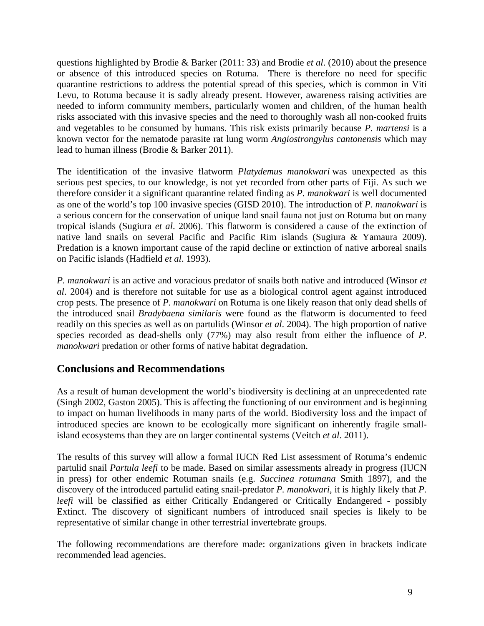questions highlighted by Brodie & Barker (2011: 33) and Brodie *et al*. (2010) about the presence or absence of this introduced species on Rotuma. There is therefore no need for specific quarantine restrictions to address the potential spread of this species, which is common in Viti Levu, to Rotuma because it is sadly already present. However, awareness raising activities are needed to inform community members, particularly women and children, of the human health risks associated with this invasive species and the need to thoroughly wash all non-cooked fruits and vegetables to be consumed by humans. This risk exists primarily because *P. martensi* is a known vector for the nematode parasite rat lung worm *Angiostrongylus cantonensis* which may lead to human illness (Brodie & Barker 2011).

The identification of the invasive flatworm *Platydemus manokwari* was unexpected as this serious pest species, to our knowledge, is not yet recorded from other parts of Fiji. As such we therefore consider it a significant quarantine related finding as *P. manokwari* is well documented as one of the world's top 100 invasive species (GISD 2010). The introduction of *P. manokwari* is a serious concern for the conservation of unique land snail fauna not just on Rotuma but on many tropical islands (Sugiura *et al*. 2006). This flatworm is considered a cause of the extinction of native land snails on several Pacific and Pacific Rim islands (Sugiura & Yamaura 2009). Predation is a known important cause of the rapid decline or extinction of native arboreal snails on Pacific islands (Hadfield *et al*. 1993).

*P. manokwari* is an active and voracious predator of snails both native and introduced (Winsor *et al*. 2004) and is therefore not suitable for use as a biological control agent against introduced crop pests. The presence of *P. manokwari* on Rotuma is one likely reason that only dead shells of the introduced snail *Bradybaena similaris* were found as the flatworm is documented to feed readily on this species as well as on partulids (Winsor *et al*. 2004). The high proportion of native species recorded as dead-shells only (77%) may also result from either the influence of *P. manokwari* predation or other forms of native habitat degradation.

# **Conclusions and Recommendations**

As a result of human development the world's biodiversity is declining at an unprecedented rate (Singh 2002, Gaston 2005). This is affecting the functioning of our environment and is beginning to impact on human livelihoods in many parts of the world. Biodiversity loss and the impact of introduced species are known to be ecologically more significant on inherently fragile smallisland ecosystems than they are on larger continental systems (Veitch *et al*. 2011).

The results of this survey will allow a formal IUCN Red List assessment of Rotuma's endemic partulid snail *Partula leefi* to be made. Based on similar assessments already in progress (IUCN in press) for other endemic Rotuman snails (e.g. *Succinea rotumana* Smith 1897), and the discovery of the introduced partulid eating snail-predator *P. manokwari,* it is highly likely that *P. leefi* will be classified as either Critically Endangered or Critically Endangered - possibly Extinct. The discovery of significant numbers of introduced snail species is likely to be representative of similar change in other terrestrial invertebrate groups.

The following recommendations are therefore made: organizations given in brackets indicate recommended lead agencies.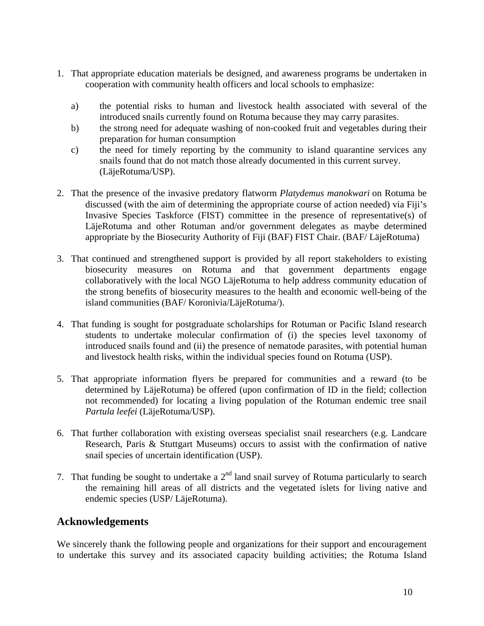- 1. That appropriate education materials be designed, and awareness programs be undertaken in cooperation with community health officers and local schools to emphasize:
	- a) the potential risks to human and livestock health associated with several of the introduced snails currently found on Rotuma because they may carry parasites.
	- b) the strong need for adequate washing of non-cooked fruit and vegetables during their preparation for human consumption
	- c) the need for timely reporting by the community to island quarantine services any snails found that do not match those already documented in this current survey. (LäjeRotuma/USP).
- 2. That the presence of the invasive predatory flatworm *Platydemus manokwari* on Rotuma be discussed (with the aim of determining the appropriate course of action needed) via Fiji's Invasive Species Taskforce (FIST) committee in the presence of representative(s) of LäjeRotuma and other Rotuman and/or government delegates as maybe determined appropriate by the Biosecurity Authority of Fiji (BAF) FIST Chair. (BAF/ LäjeRotuma)
- 3. That continued and strengthened support is provided by all report stakeholders to existing biosecurity measures on Rotuma and that government departments engage collaboratively with the local NGO LäjeRotuma to help address community education of the strong benefits of biosecurity measures to the health and economic well-being of the island communities (BAF/ Koronivia/LäjeRotuma/).
- 4. That funding is sought for postgraduate scholarships for Rotuman or Pacific Island research students to undertake molecular confirmation of (i) the species level taxonomy of introduced snails found and (ii) the presence of nematode parasites, with potential human and livestock health risks, within the individual species found on Rotuma (USP).
- 5. That appropriate information flyers be prepared for communities and a reward (to be determined by LäjeRotuma) be offered (upon confirmation of ID in the field; collection not recommended) for locating a living population of the Rotuman endemic tree snail *Partula leefei* (LäjeRotuma/USP).
- 6. That further collaboration with existing overseas specialist snail researchers (e.g. Landcare Research, Paris & Stuttgart Museums) occurs to assist with the confirmation of native snail species of uncertain identification (USP).
- 7. That funding be sought to undertake a  $2<sup>nd</sup>$  land snail survey of Rotuma particularly to search the remaining hill areas of all districts and the vegetated islets for living native and endemic species (USP/ LäjeRotuma).

## **Acknowledgements**

We sincerely thank the following people and organizations for their support and encouragement to undertake this survey and its associated capacity building activities; the Rotuma Island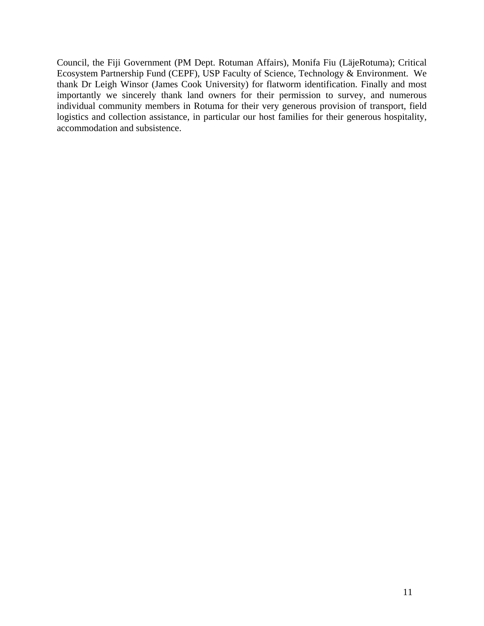Council, the Fiji Government (PM Dept. Rotuman Affairs), Monifa Fiu (LäjeRotuma); Critical Ecosystem Partnership Fund (CEPF), USP Faculty of Science, Technology & Environment. We thank Dr Leigh Winsor (James Cook University) for flatworm identification. Finally and most importantly we sincerely thank land owners for their permission to survey, and numerous individual community members in Rotuma for their very generous provision of transport, field logistics and collection assistance, in particular our host families for their generous hospitality, accommodation and subsistence.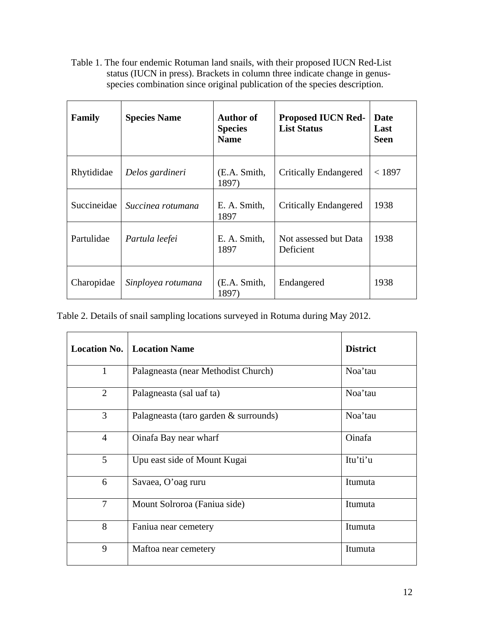Table 1. The four endemic Rotuman land snails, with their proposed IUCN Red-List status (IUCN in press). Brackets in column three indicate change in genusspecies combination since original publication of the species description.

| Family      | <b>Species Name</b> | <b>Author of</b><br><b>Species</b><br><b>Name</b> | <b>Proposed IUCN Red-</b><br><b>List Status</b> | Date<br>Last<br><b>Seen</b> |
|-------------|---------------------|---------------------------------------------------|-------------------------------------------------|-----------------------------|
| Rhytididae  | Delos gardineri     | (E.A. Smith,<br>1897)                             | <b>Critically Endangered</b>                    | < 1897                      |
| Succineidae | Succinea rotumana   | E. A. Smith,<br>1897                              | <b>Critically Endangered</b>                    | 1938                        |
| Partulidae  | Partula leefei      | E. A. Smith,<br>1897                              | Not assessed but Data<br>Deficient              | 1938                        |
| Charopidae  | Sinployea rotumana  | (E.A. Smith,<br>1897)                             | Endangered                                      | 1938                        |

Table 2. Details of snail sampling locations surveyed in Rotuma during May 2012.

| <b>Location No.</b>                    | <b>Location Name</b>                  | <b>District</b> |
|----------------------------------------|---------------------------------------|-----------------|
| $\mathbf{1}$                           | Palagneasta (near Methodist Church)   | Noa'tau         |
| $\overline{2}$                         | Palagneasta (sal uaf ta)              | Noa'tau         |
| 3                                      | Palagneasta (taro garden & surrounds) | Noa'tau         |
| $\overline{4}$                         | Oinafa Bay near wharf                 | Oinafa          |
| 5 <sup>5</sup>                         | Upu east side of Mount Kugai          | Itu'ti'u        |
| 6                                      | Savaea, O'oag ruru                    | Itumuta         |
| $\tau$<br>Mount Solroroa (Faniua side) |                                       | Itumuta         |
| 8                                      | Faniua near cemetery                  | Itumuta         |
| 9                                      | Maftoa near cemetery                  | Itumuta         |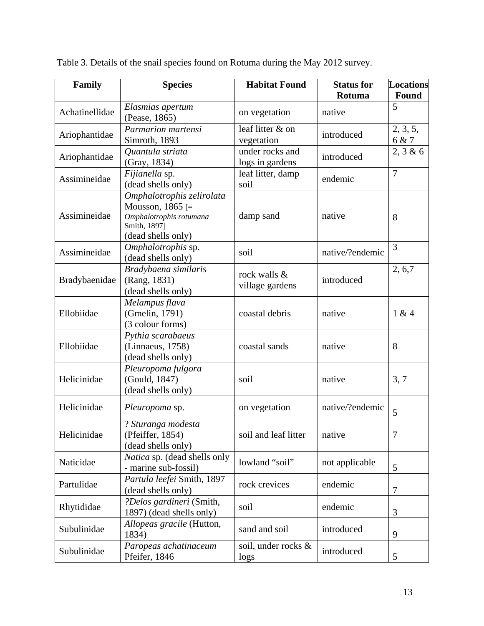| Family         | <b>Species</b>                    | <b>Habitat Found</b> | <b>Status for</b> | <b>Locations</b> |
|----------------|-----------------------------------|----------------------|-------------------|------------------|
|                |                                   |                      | Rotuma            | Found            |
| Achatinellidae | Elasmias apertum<br>(Pease, 1865) | on vegetation        | native            | 5                |
| Ariophantidae  | Parmarion martensi                | leaf litter & on     |                   | 2, 3, 5,         |
|                | Simroth, 1893                     | vegetation           | introduced        | 6 & 7            |
|                | Quantula striata                  | under rocks and      |                   | 2, 3 & 6         |
| Ariophantidae  | (Gray, 1834)                      | logs in gardens      | introduced        |                  |
|                | Fijianella sp.                    | leaf litter, damp    |                   | $\overline{7}$   |
| Assimineidae   | (dead shells only)                | soil                 | endemic           |                  |
|                | Omphalotrophis zelirolata         |                      |                   |                  |
|                | Mousson, $1865$ [=                |                      | native            |                  |
| Assimineidae   | Omphalotrophis rotumana           | damp sand            |                   | 8                |
|                | Smith, 1897]                      |                      |                   |                  |
|                | (dead shells only)                |                      |                   |                  |
| Assimineidae   | Omphalotrophis sp.                | soil                 | native/?endemic   | 3                |
|                | (dead shells only)                |                      |                   |                  |
|                | Bradybaena similaris              | rock walls &         |                   | 2, 6, 7          |
| Bradybaenidae  | (Rang, 1831)                      | village gardens      | introduced        |                  |
|                | (dead shells only)                |                      |                   |                  |
|                | Melampus flava                    |                      |                   |                  |
| Ellobiidae     | (Gmelin, 1791)                    | coastal debris       | native            | 1 & 4            |
|                | (3 colour forms)                  |                      |                   |                  |
|                | Pythia scarabaeus                 |                      |                   |                  |
| Ellobiidae     | (Linnaeus, 1758)                  | coastal sands        | native            | 8                |
|                | (dead shells only)                |                      |                   |                  |
|                | Pleuropoma fulgora                |                      |                   |                  |
| Helicinidae    | (Gould, 1847)                     | soil                 | native            | 3, 7             |
|                | (dead shells only)                |                      |                   |                  |
| Helicinidae    | Pleuropoma sp.                    | on vegetation        | native/?endemic   |                  |
|                |                                   |                      |                   | 5                |
|                | ? Sturanga modesta                |                      |                   |                  |
| Helicinidae    | (Pfeiffer, 1854)                  | soil and leaf litter | native            | 7                |
|                | (dead shells only)                |                      |                   |                  |
| Naticidae      | Natica sp. (dead shells only      | lowland "soil"       | not applicable    |                  |
|                | - marine sub-fossil)              |                      |                   | 5                |
| Partulidae     | Partula leefei Smith, 1897        | rock crevices        | endemic           |                  |
|                | (dead shells only)                |                      |                   | $\tau$           |
| Rhytididae     | ?Delos gardineri (Smith,          | soil                 | endemic           |                  |
|                | 1897) (dead shells only)          |                      |                   | 3                |
| Subulinidae    | Allopeas gracile (Hutton,         | sand and soil        | introduced        |                  |
|                | 1834)                             |                      |                   | 9                |
| Subulinidae    | Paropeas achatinaceum             | soil, under rocks &  | introduced        |                  |
|                | Pfeifer, 1846                     | logs                 |                   | 5                |

Table 3. Details of the snail species found on Rotuma during the May 2012 survey.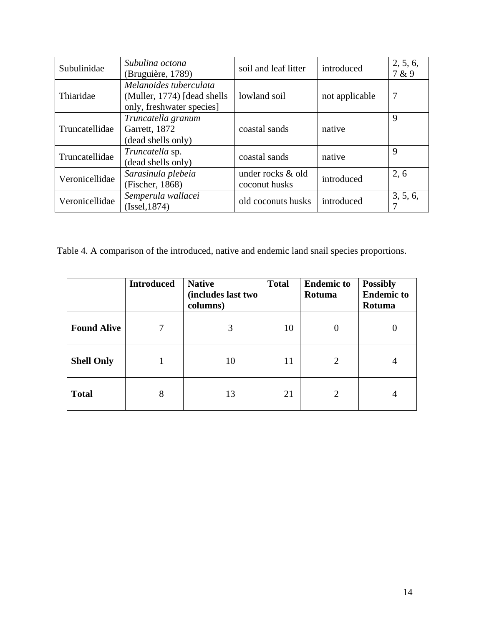| Subulinidae    | Subulina octona<br>(Bruguière, 1789)                                               | soil and leaf litter               | introduced     | 2, 5, 6,<br>7 & 9 |
|----------------|------------------------------------------------------------------------------------|------------------------------------|----------------|-------------------|
| Thiaridae      | Melanoides tuberculata<br>(Muller, 1774) [dead shells<br>only, freshwater species] | lowland soil                       | not applicable | 7                 |
| Truncatellidae | Truncatella granum<br>Garrett, 1872<br>(dead shells only)                          | coastal sands                      | native         | 9                 |
| Truncatellidae | Truncatella sp.<br>(dead shells only)                                              | coastal sands                      | native         | 9                 |
| Veronicellidae | Sarasinula plebeia<br>(Fischer, 1868)                                              | under rocks & old<br>coconut husks | introduced     | 2.6               |
| Veronicellidae | Semperula wallacei<br>(Issel, 1874)                                                | old coconuts husks                 | introduced     | 3, 5, 6,          |

Table 4. A comparison of the introduced, native and endemic land snail species proportions.

|                    | <b>Introduced</b> | <b>Native</b><br>(includes last two<br>columns) | <b>Total</b> | <b>Endemic to</b><br>Rotuma | <b>Possibly</b><br><b>Endemic to</b><br>Rotuma |
|--------------------|-------------------|-------------------------------------------------|--------------|-----------------------------|------------------------------------------------|
| <b>Found Alive</b> | 7                 | 3                                               | 10           | $\Omega$                    |                                                |
| <b>Shell Only</b>  |                   | 10                                              | 11           | 2                           | 4                                              |
| <b>Total</b>       | 8                 | 13                                              | 21           | 2                           | 4                                              |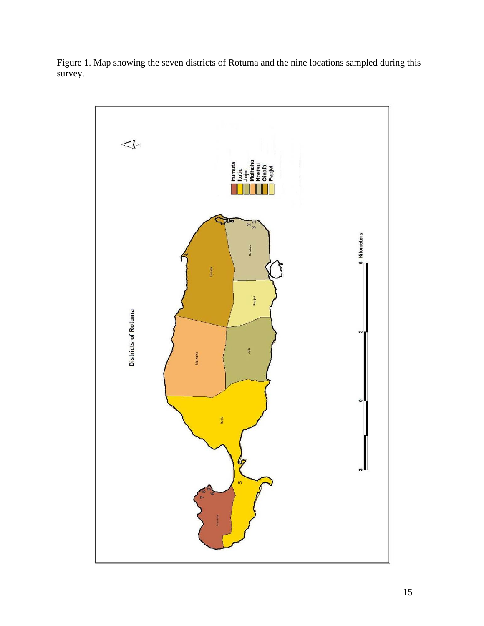

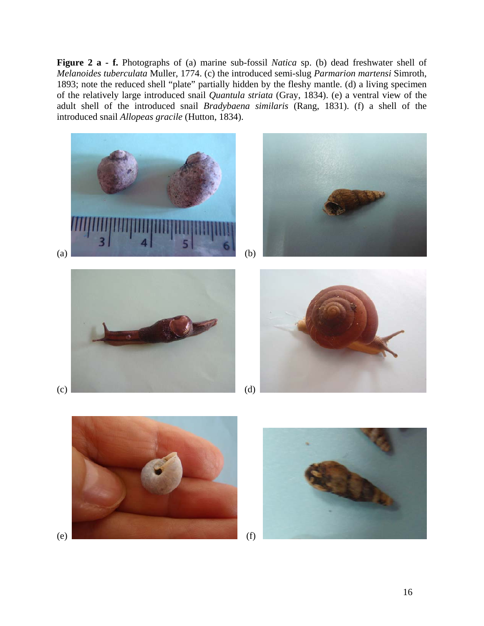**Figure 2 a - f.** Photographs of (a) marine sub-fossil *Natica* sp. (b) dead freshwater shell of *Melanoides tuberculata* Muller, 1774. (c) the introduced semi-slug *Parmarion martensi* Simroth, 1893; note the reduced shell "plate" partially hidden by the fleshy mantle. (d) a living specimen of the relatively large introduced snail *Quantula striata* (Gray, 1834). (e) a ventral view of the adult shell of the introduced snail *Bradybaena similaris* (Rang, 1831). (f) a shell of the introduced snail *Allopeas gracile* (Hutton, 1834).



(e)  $\qquad \qquad$  (f)

16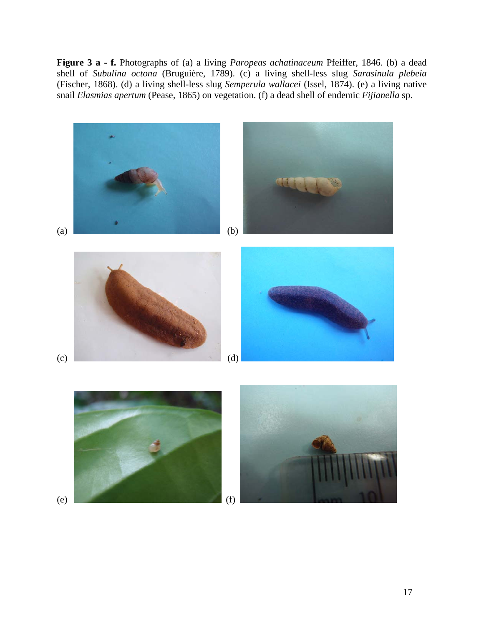**Figure 3 a - f.** Photographs of (a) a living *Paropeas achatinaceum* Pfeiffer, 1846. (b) a dead shell of *Subulina octona* (Bruguière, 1789). (c) a living shell-less slug *Sarasinula plebeia* (Fischer, 1868). (d) a living shell-less slug *Semperula wallacei* (Issel, 1874). (e) a living native snail *Elasmias apertum* (Pease, 1865) on vegetation. (f) a dead shell of endemic *Fijianella* sp.

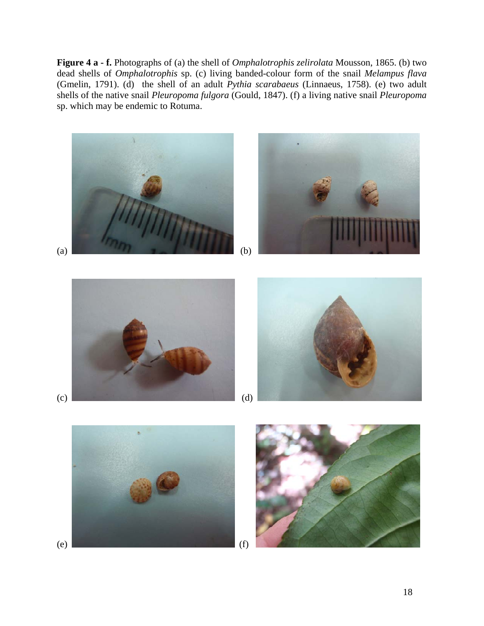**Figure 4 a - f.** Photographs of (a) the shell of *Omphalotrophis zelirolata* Mousson, 1865. (b) two dead shells of *Omphalotrophis* sp. (c) living banded-colour form of the snail *Melampus flava* (Gmelin, 1791). (d) the shell of an adult *Pythia scarabaeus* (Linnaeus, 1758). (e) two adult shells of the native snail *Pleuropoma fulgora* (Gould, 1847). (f) a living native snail *Pleuropoma* sp. which may be endemic to Rotuma.

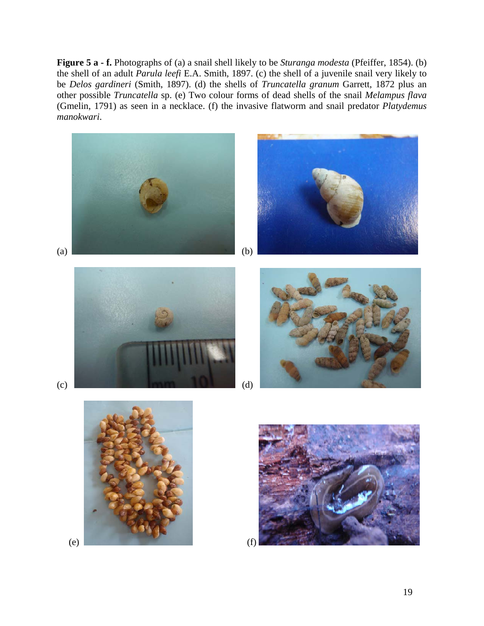**Figure 5 a - f.** Photographs of (a) a snail shell likely to be *Sturanga modesta* (Pfeiffer, 1854). (b) the shell of an adult *Parula leefi* E.A. Smith, 1897. (c) the shell of a juvenile snail very likely to be *Delos gardineri* (Smith, 1897). (d) the shells of *Truncatella granum* Garrett, 1872 plus an other possible *Truncatella* sp. (e) Two colour forms of dead shells of the snail *Melampus flava* (Gmelin, 1791) as seen in a necklace. (f) the invasive flatworm and snail predator *Platydemus manokwari*.



 $\qquad \qquad \textbf{(e)} \qquad \qquad \textbf{(f)}$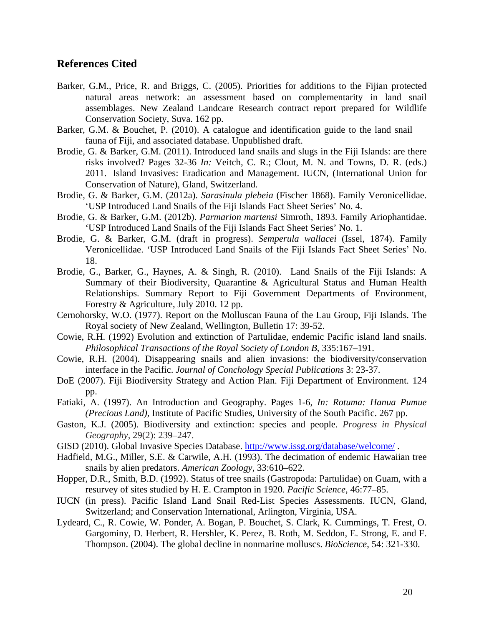## **References Cited**

- Barker, G.M., Price, R. and Briggs, C. (2005). Priorities for additions to the Fijian protected natural areas network: an assessment based on complementarity in land snail assemblages. New Zealand Landcare Research contract report prepared for Wildlife Conservation Society, Suva. 162 pp.
- Barker, G.M. & Bouchet, P. (2010). A catalogue and identification guide to the land snail fauna of Fiji, and associated database. Unpublished draft.
- Brodie, G. & Barker, G.M. (2011). Introduced land snails and slugs in the Fiji Islands: are there risks involved? Pages 32-36 *In:* Veitch, C. R.; Clout, M. N. and Towns, D. R. (eds.) 2011. Island Invasives: Eradication and Management. IUCN, (International Union for Conservation of Nature), Gland, Switzerland.
- Brodie, G. & Barker, G.M. (2012a). *Sarasinula plebeia* (Fischer 1868). Family Veronicellidae. 'USP Introduced Land Snails of the Fiji Islands Fact Sheet Series' No. 4.
- Brodie, G. & Barker, G.M. (2012b). *Parmarion martensi* Simroth, 1893. Family Ariophantidae. 'USP Introduced Land Snails of the Fiji Islands Fact Sheet Series' No. 1.
- Brodie, G. & Barker, G.M. (draft in progress). *Semperula wallacei* (Issel, 1874). Family Veronicellidae. 'USP Introduced Land Snails of the Fiji Islands Fact Sheet Series' No. 18.
- Brodie, G., Barker, G., Haynes, A. & Singh, R. (2010). Land Snails of the Fiji Islands: A Summary of their Biodiversity, Quarantine & Agricultural Status and Human Health Relationships. Summary Report to Fiji Government Departments of Environment, Forestry & Agriculture, July 2010. 12 pp.
- Cernohorsky, W.O. (1977). Report on the Molluscan Fauna of the Lau Group, Fiji Islands. The Royal society of New Zealand, Wellington, Bulletin 17: 39-52.
- Cowie, R.H. (1992) Evolution and extinction of Partulidae, endemic Pacific island land snails. *Philosophical Transactions of the Royal Society of London B*, 335:167–191.
- Cowie, R.H. (2004). Disappearing snails and alien invasions: the biodiversity/conservation interface in the Pacific. *Journal of Conchology Special Publications* 3: 23-37.
- DoE (2007). Fiji Biodiversity Strategy and Action Plan. Fiji Department of Environment. 124 pp.
- Fatiaki, A. (1997). An Introduction and Geography. Pages 1-6, *In: Rotuma: Hanua Pumue (Precious Land)*, Institute of Pacific Studies, University of the South Pacific. 267 pp.
- Gaston, K.J. (2005). Biodiversity and extinction: species and people. *Progress in Physical Geography*, 29(2): 239–247.
- GISD (2010). Global Invasive Species Database. http://www.issg.org/database/welcome/ .
- Hadfield, M.G., Miller, S.E. & Carwile, A.H. (1993). The decimation of endemic Hawaiian tree snails by alien predators. *American Zoology*, 33:610–622.
- Hopper, D.R., Smith, B.D. (1992). Status of tree snails (Gastropoda: Partulidae) on Guam, with a resurvey of sites studied by H. E. Crampton in 1920. *Pacific Science*, 46:77–85.
- IUCN (in press). Pacific Island Land Snail Red-List Species Assessments. IUCN, Gland, Switzerland; and Conservation International, Arlington, Virginia, USA.
- Lydeard, C., R. Cowie, W. Ponder, A. Bogan, P. Bouchet, S. Clark, K. Cummings, T. Frest, O. Gargominy, D. Herbert, R. Hershler, K. Perez, B. Roth, M. Seddon, E. Strong, E. and F. Thompson. (2004). The global decline in nonmarine molluscs. *BioScience*, 54: 321-330.